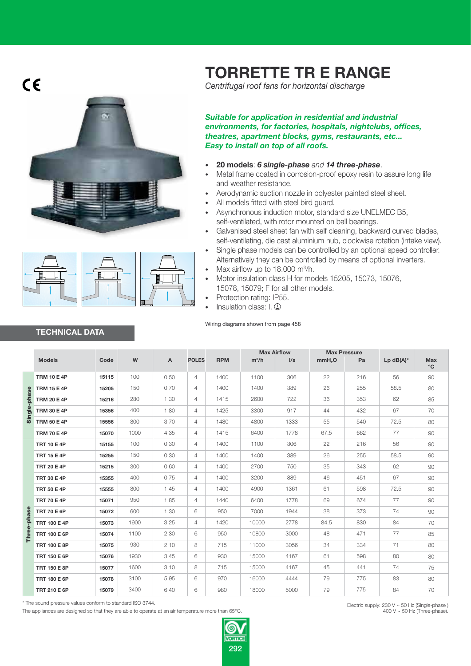$C\epsilon$ 





**TECHNICAL DATA**

## **TORRETTE TR E RANGE**

Centrifugal roof fans for horizontal discharge

*Suitable for application in residential and industrial environments, for factories, hospitals, nightclubs, offices, theatres, apartment blocks, gyms, restaurants, etc... Easy to install on top of all roofs.*

- **20 models: 6 single-phase and 14 three-phase.**
- Metal frame coated in corrosion-proof epoxy resin to assure long life and weather resistance.
- Aerodynamic suction nozzle in polyester painted steel sheet.
- All models fitted with steel bird quard.
- Asynchronous induction motor, standard size UNELMEC B5, self-ventilated, with rotor mounted on ball bearings.
- Galvanised steel sheet fan with self cleaning, backward curved blades. self-ventilating, die cast aluminium hub, clockwise rotation (intake view).
- Single phase models can be controlled by an optional speed controller. Alternatively they can be controlled by means of optional inverters.
- Max airflow up to 18.000 m<sup>3</sup>/h.
- Motor insulation class H for models 15205, 15073, 15076, 15078, 15079: F for all other models.
- Protection rating: IP55.
- Insulation class:  $I. \bigoplus$

Wiring diagrams shown from page 458

|             |                     |       |           |                           |                |            |         | <b>Max Airflow</b> | <b>Max Pressure</b> |     |             |                     |
|-------------|---------------------|-------|-----------|---------------------------|----------------|------------|---------|--------------------|---------------------|-----|-------------|---------------------|
|             | <b>Models</b>       | Code  | ${\bf W}$ | $\boldsymbol{\mathsf{A}}$ | <b>POLES</b>   | <b>RPM</b> | $m^3/h$ | I/s                | mmH <sub>2</sub> O  | Pa  | $Lp$ dB(A)* | Max<br>$^{\circ}$ C |
|             | <b>TRM 10 E 4P</b>  | 15115 | 100       | 0.50                      | $\overline{4}$ | 1400       | 1100    | 306                | 22                  | 216 | 56          | 90                  |
|             | <b>TRM 15 E 4P</b>  | 15205 | 150       | 0.70                      | $\overline{4}$ | 1400       | 1400    | 389                | 26                  | 255 | 58.5        | 80                  |
| phase       | <b>TRM 20 E 4P</b>  | 15216 | 280       | 1.30                      | $\overline{4}$ | 1415       | 2600    | 722                | 36                  | 353 | 62          | 85                  |
| Single-     | <b>TRM 30 E 4P</b>  | 15356 | 400       | 1.80                      | $\overline{4}$ | 1425       | 3300    | 917                | 44                  | 432 | 67          | 70                  |
|             | <b>TRM 50 E 4P</b>  | 15556 | 800       | 3.70                      | $\overline{4}$ | 1480       | 4800    | 1333               | 55                  | 540 | 72.5        | 80                  |
|             | <b>TRM 70 E 4P</b>  | 15070 | 1000      | 4.35                      | $\overline{4}$ | 1415       | 6400    | 1778               | 67.5                | 662 | 77          | 90                  |
|             | <b>TRT 10 E 4P</b>  | 15155 | 100       | 0.30                      | 4              | 1400       | 1100    | 306                | 22                  | 216 | 56          | 90                  |
|             | <b>TRT 15 E 4P</b>  | 15255 | 150       | 0.30                      | 4              | 1400       | 1400    | 389                | 26                  | 255 | 58.5        | 90                  |
|             | <b>TRT 20 E 4P</b>  | 15215 | 300       | 0.60                      | 4              | 1400       | 2700    | 750                | 35                  | 343 | 62          | 90                  |
|             | <b>TRT 30 E 4P</b>  | 15355 | 400       | 0.75                      | $\overline{4}$ | 1400       | 3200    | 889                | 46                  | 451 | 67          | 90                  |
|             | <b>TRT 50 E 4P</b>  | 15555 | 800       | 1.45                      | 4              | 1400       | 4900    | 1361               | 61                  | 598 | 72.5        | 90                  |
|             | <b>TRT 70 E 4P</b>  | 15071 | 950       | 1.85                      | $\overline{4}$ | 1440       | 6400    | 1778               | 69                  | 674 | 77          | 90                  |
|             | <b>TRT 70 E 6P</b>  | 15072 | 600       | 1.30                      | 6              | 950        | 7000    | 1944               | 38                  | 373 | 74          | 90                  |
|             | <b>TRT 100 E 4P</b> | 15073 | 1900      | 3.25                      | $\overline{4}$ | 1420       | 10000   | 2778               | 84.5                | 830 | 84          | 70                  |
| Three-phase | <b>TRT 100 E 6P</b> | 15074 | 1100      | 2.30                      | 6              | 950        | 10800   | 3000               | 48                  | 471 | 77          | 85                  |
|             | <b>TRT 100 E 8P</b> | 15075 | 930       | 2.10                      | 8              | 715        | 11000   | 3056               | 34                  | 334 | 71          | 80                  |
|             | <b>TRT 150 E 6P</b> | 15076 | 1930      | 3.45                      | 6              | 930        | 15000   | 4167               | 61                  | 598 | 80          | 80                  |
|             | <b>TRT 150 E 8P</b> | 15077 | 1600      | 3.10                      | 8              | 715        | 15000   | 4167               | 45                  | 441 | 74          | 75                  |
|             | <b>TRT 180 E 6P</b> | 15078 | 3100      | 5.95                      | 6              | 970        | 16000   | 4444               | 79                  | 775 | 83          | 80                  |
|             | <b>TRT 210 E 6P</b> | 15079 | 3400      | 6.40                      | 6              | 980        | 18000   | 5000               | 79                  | 775 | 84          | 70                  |

The appliances are designed so that they are able to operate at an air temperature more than 65°C



Electric supply: 230 V ~ 50 Hz (Single-phase)<br>.400 V ~ 50 Hz (Three-phase)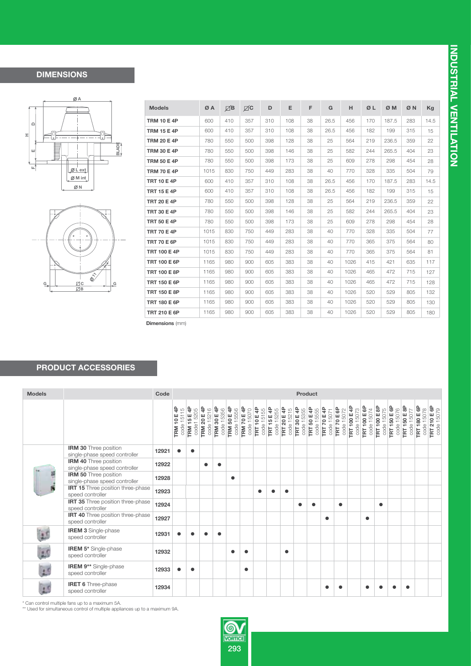## **DIMENSIONS**





| <b>Models</b>       | ØA   | $\boxtimes$ B | $\boxtimes$ | D   | Е   | F  | G    | н    | ØL  | ØM    | ØN  | Kg   |  |
|---------------------|------|---------------|-------------|-----|-----|----|------|------|-----|-------|-----|------|--|
| <b>TRM 10 E 4P</b>  | 600  | 410           | 357         | 310 | 108 | 38 | 26.5 | 456  | 170 | 187.5 | 283 | 14.5 |  |
| <b>TRM 15 E 4P</b>  | 600  | 410           | 357         | 310 | 108 | 38 | 26.5 | 456  | 182 | 199   | 315 | 15   |  |
| <b>TRM 20 E 4P</b>  | 780  | 550           | 500         | 398 | 128 | 38 | 25   | 564  | 219 | 236.5 | 359 | 22   |  |
| <b>TRM 30 E 4P</b>  | 780  | 550           | 500         | 398 | 146 | 38 | 25   | 582  | 244 | 265.5 | 404 | 23   |  |
| <b>TRM 50 E 4P</b>  | 780  | 550           | 500         | 398 | 173 | 38 | 25   | 609  | 278 | 298   | 454 | 28   |  |
| <b>TRM 70 E 4P</b>  | 1015 | 830           | 750         | 449 | 283 | 38 | 40   | 770  | 328 | 335   | 504 | 79   |  |
| <b>TRT 10 E 4P</b>  | 600  | 410           | 357         | 310 | 108 | 38 | 26.5 | 456  | 170 | 187.5 | 283 | 14.5 |  |
| <b>TRT 15 E 4P</b>  | 600  | 410           | 357         | 310 | 108 | 38 | 26.5 | 456  | 182 | 199   | 315 | 15   |  |
| <b>TRT 20 E 4P</b>  | 780  | 550           | 500         | 398 | 128 | 38 | 25   | 564  | 219 | 236.5 | 359 | 22   |  |
| <b>TRT 30 E 4P</b>  | 780  | 550           | 500         | 398 | 146 | 38 | 25   | 582  | 244 | 265.5 | 404 | 23   |  |
| <b>TRT 50 E 4P</b>  | 780  | 550           | 500         | 398 | 173 | 38 | 25   | 609  | 278 | 298   | 454 | 28   |  |
| <b>TRT 70 E 4P</b>  | 1015 | 830           | 750         | 449 | 283 | 38 | 40   | 770  | 328 | 335   | 504 | 77   |  |
| <b>TRT 70 E 6P</b>  | 1015 | 830           | 750         | 449 | 283 | 38 | 40   | 770  | 365 | 375   | 564 | 80   |  |
| <b>TRT 100 E 4P</b> | 1015 | 830           | 750         | 449 | 283 | 38 | 40   | 770  | 365 | 375   | 564 | 81   |  |
| <b>TRT 100 E 6P</b> | 1165 | 980           | 900         | 605 | 383 | 38 | 40   | 1026 | 415 | 421   | 635 | 117  |  |
| <b>TRT 100 E 8P</b> | 1165 | 980           | 900         | 605 | 383 | 38 | 40   | 1026 | 465 | 472   | 715 | 127  |  |
| <b>TRT 150 E 6P</b> | 1165 | 980           | 900         | 605 | 383 | 38 | 40   | 1026 | 465 | 472   | 715 | 128  |  |
| <b>TRT 150 E 8P</b> | 1165 | 980           | 900         | 605 | 383 | 38 | 40   | 1026 | 520 | 529   | 805 | 132  |  |
| <b>TRT 180 E 6P</b> | 1165 | 980           | 900         | 605 | 383 | 38 | 40   | 1026 | 520 | 529   | 805 | 130  |  |
| <b>TRT 210 E 6P</b> | 1165 | 980           | 900         | 605 | 383 | 38 | 40   | 1026 | 520 | 529   | 805 | 180  |  |

**Dimensions** (mm)

## **PRODUCT ACCESSORIES**

| <b>Models</b> |                                                               | Code  | <b>Product</b>                   |                                  |                                  |                                     |                                  |                    |            |                           |                                  |                                     |                                  |                           |             |            |                                  |                                   |                                   |                                   |                     |            |                                   |                                   |                                   |
|---------------|---------------------------------------------------------------|-------|----------------------------------|----------------------------------|----------------------------------|-------------------------------------|----------------------------------|--------------------|------------|---------------------------|----------------------------------|-------------------------------------|----------------------------------|---------------------------|-------------|------------|----------------------------------|-----------------------------------|-----------------------------------|-----------------------------------|---------------------|------------|-----------------------------------|-----------------------------------|-----------------------------------|
|               |                                                               |       | <b>TRM 10 E 4P</b><br>code 15115 | <b>TRM 15 E 4P</b><br>code1 5205 | <b>TRM 20 E 4P</b><br>code 15216 | <b>TRM 30 E 4P</b><br>15356<br>code | <b>TRM 50 E 4P</b><br>code 15556 | <b>TRM 70 E 4P</b> | code 15070 | TRT 10 E 4P<br>code 15155 | <b>TRT 15 E 4P</b><br>code 15255 | <b>TRT 20 E 4P</b><br>15215<br>code | <b>TRT 30 E 4P</b><br>code 15355 | TRT 50 E 4P<br>code 15555 | TRT 70 E 4P | code 15071 | <b>TRT 70 E 6P</b><br>code 15072 | <b>TRT 100 E 4P</b><br>code 15073 | <b>TRT 100 E 6P</b><br>code 15074 | <b>FRT 100 E 8P</b><br>code 15075 | <b>TRT 150 E 6P</b> | code 15076 | <b>TRT 150 E 8P</b><br>code 15077 | <b>TRT 180 E 6P</b><br>code 15078 | <b>TRT 210 E 6P</b><br>code 15079 |
|               | IRM 30 Three position<br>single-phase speed controller        | 12921 | $\bullet$                        | $\bullet$                        |                                  |                                     |                                  |                    |            |                           |                                  |                                     |                                  |                           |             |            |                                  |                                   |                                   |                                   |                     |            |                                   |                                   |                                   |
|               | <b>IRM 40 Three position</b><br>single-phase speed controller | 12922 |                                  |                                  |                                  | $\bullet$                           |                                  |                    |            |                           |                                  |                                     |                                  |                           |             |            |                                  |                                   |                                   |                                   |                     |            |                                   |                                   |                                   |
|               | <b>IRM 50 Three position</b><br>single-phase speed controller | 12928 |                                  |                                  |                                  |                                     | $\bullet$                        |                    |            |                           |                                  |                                     |                                  |                           |             |            |                                  |                                   |                                   |                                   |                     |            |                                   |                                   |                                   |
|               | <b>IRT 15</b> Three position three-phase<br>speed controller  | 12923 |                                  |                                  |                                  |                                     |                                  |                    |            | $\bullet$                 |                                  | $\bullet$                           |                                  |                           |             |            |                                  |                                   |                                   |                                   |                     |            |                                   |                                   |                                   |
|               | <b>IRT 35</b> Three position three-phase<br>speed controller  | 12924 |                                  |                                  |                                  |                                     |                                  |                    |            |                           |                                  |                                     | $\bullet$                        | $\bullet$                 |             |            | $\bullet$                        |                                   |                                   | $\bullet$                         |                     |            |                                   |                                   |                                   |
|               | <b>IRT 40</b> Three position three-phase<br>speed controller  | 12927 |                                  |                                  |                                  |                                     |                                  |                    |            |                           |                                  |                                     |                                  |                           | $\bullet$   |            |                                  |                                   | $\bullet$                         |                                   |                     |            |                                   |                                   |                                   |
|               | <b>IREM 3 Single-phase</b><br>speed controller                | 12931 |                                  |                                  |                                  |                                     |                                  |                    |            |                           |                                  |                                     |                                  |                           |             |            |                                  |                                   |                                   |                                   |                     |            |                                   |                                   |                                   |
|               | IREM 5* Single-phase<br>speed controller                      | 12932 |                                  |                                  |                                  |                                     | $\bullet$                        | $\bullet$          |            |                           |                                  | $\bullet$                           |                                  |                           |             |            |                                  |                                   |                                   |                                   |                     |            |                                   |                                   |                                   |
|               | IREM 9** Single-phase<br>speed controller                     | 12933 | $\bullet$                        | $\bullet$                        |                                  |                                     |                                  | $\bullet$          |            |                           |                                  |                                     |                                  |                           |             |            |                                  |                                   |                                   |                                   |                     |            |                                   |                                   |                                   |
|               | <b>IRET 6</b> Three-phase<br>speed controller                 | 12934 |                                  |                                  |                                  |                                     |                                  |                    |            |                           |                                  |                                     |                                  |                           |             |            |                                  |                                   |                                   |                                   |                     |            |                                   |                                   |                                   |

\* Can control multiple fans up to a maximum 5A.<br>\*\* Used for simultaneous control of multiple appliances up to a maximum 9A.

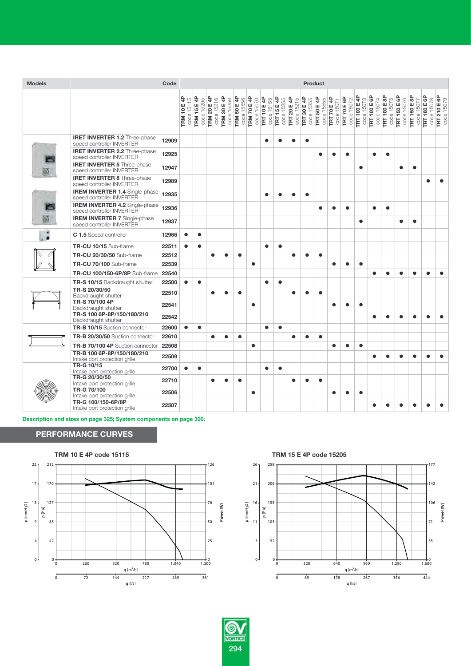| <b>Models</b> |                                                                    | Code  | <b>Product</b>                   |                           |                                     |                                  |                           |                                  |                                  |                                  |                                  |                                  |                           |                                  |                                  |                                   |                                   |                                   |                            |                                   |                                   |                                   |
|---------------|--------------------------------------------------------------------|-------|----------------------------------|---------------------------|-------------------------------------|----------------------------------|---------------------------|----------------------------------|----------------------------------|----------------------------------|----------------------------------|----------------------------------|---------------------------|----------------------------------|----------------------------------|-----------------------------------|-----------------------------------|-----------------------------------|----------------------------|-----------------------------------|-----------------------------------|-----------------------------------|
|               |                                                                    |       | <b>TRM 10 E 4P</b><br>code 15115 | TRM 15 E 4P<br>code 15205 | E 4P<br>code 15216<br><b>TRM 20</b> | <b>TRM 30 E 4P</b><br>code 15356 | TRM 50 E 4P<br>code 15556 | <b>TRM 70 E 4P</b><br>code 15070 | <b>TRT 10 E 4P</b><br>code 15155 | <b>TRT 15 E 4P</b><br>code 15255 | <b>TRT 20 E 4P</b><br>code 15215 | <b>TRT 30 E 4P</b><br>code 15355 | TRT 50 E 4P<br>code 15555 | <b>TRT 70 E 4P</b><br>code 15071 | <b>TRT 70 E 6P</b><br>code 15072 | <b>TRT 100 E 4P</b><br>code 15073 | <b>TRT 100 E 6P</b><br>code 15074 | <b>TRT 100 E 8P</b><br>code 15075 | TRT 150 E 6P<br>code 15076 | <b>TRT 150 E 8P</b><br>code 15077 | <b>TRT 180 E 6P</b><br>code 15078 | <b>TRT 210 E 6P</b><br>code 15079 |
|               | <b>IRET INVERTER 1.2</b> Three-phase<br>speed controller INVERTER  | 12909 |                                  |                           |                                     |                                  |                           |                                  | $\bullet$                        |                                  |                                  | $\bullet$                        |                           |                                  |                                  |                                   |                                   |                                   |                            |                                   |                                   |                                   |
|               | <b>IRET INVERTER 2.2</b> Three-phase<br>speed controller INVERTER  | 12925 |                                  |                           |                                     |                                  |                           |                                  |                                  |                                  |                                  |                                  | $\bullet$                 |                                  | $\bullet$                        |                                   | $\bullet$                         | $\bullet$                         |                            |                                   |                                   |                                   |
|               | <b>IRET INVERTER 5 Three-phase</b><br>speed controller INVERTER    | 12947 |                                  |                           |                                     |                                  |                           |                                  |                                  |                                  |                                  |                                  |                           |                                  |                                  | $\bullet$                         |                                   |                                   | $\bullet$                  | $\bullet$                         |                                   |                                   |
|               | <b>IRET INVERTER 8 Three-phase</b><br>speed controller INVERTER    | 12989 |                                  |                           |                                     |                                  |                           |                                  |                                  |                                  |                                  |                                  |                           |                                  |                                  |                                   |                                   |                                   |                            |                                   | $\bullet$                         |                                   |
|               | <b>IREM INVERTER 1.4 Single-phase</b><br>speed controller INVERTER | 12935 |                                  |                           |                                     |                                  |                           |                                  | $\bullet$                        |                                  | ٠                                | $\bullet$                        |                           |                                  |                                  |                                   |                                   |                                   |                            |                                   |                                   |                                   |
|               | <b>IREM INVERTER 4.2 Single-phase</b><br>speed controller INVERTER | 12936 |                                  |                           |                                     |                                  |                           |                                  |                                  |                                  |                                  |                                  | $\bullet$                 |                                  | $\bullet$                        |                                   |                                   | $\bullet$                         |                            |                                   |                                   |                                   |
|               | <b>IREM INVERTER 7 Single-phase</b><br>speed controller INVERTER   | 12937 |                                  |                           |                                     |                                  |                           |                                  |                                  |                                  |                                  |                                  |                           |                                  |                                  | $\bullet$                         |                                   |                                   | $\bullet$                  | ●                                 |                                   |                                   |
|               | C 1.5 Speed controller                                             | 12966 |                                  | $\bullet$                 |                                     |                                  |                           |                                  |                                  |                                  |                                  |                                  |                           |                                  |                                  |                                   |                                   |                                   |                            |                                   |                                   |                                   |
|               | TR-CU 10/15 Sub-frame                                              | 22511 | $\bullet$                        | $\bullet$                 |                                     |                                  |                           |                                  | $\bullet$                        | $\bullet$                        |                                  |                                  |                           |                                  |                                  |                                   |                                   |                                   |                            |                                   |                                   |                                   |
|               | <b>TR-CU 20/30/50 Sub-frame</b>                                    | 22512 |                                  |                           | $\bullet$                           | $\bullet$                        | $\bullet$                 |                                  |                                  |                                  | $\bullet$                        | $\bullet$                        | $\bullet$                 |                                  |                                  |                                   |                                   |                                   |                            |                                   |                                   |                                   |
|               | TR-CU 70/100 Sub-frame                                             | 22539 |                                  |                           |                                     |                                  |                           | $\bullet$                        |                                  |                                  |                                  |                                  |                           | $\bullet$                        | $\bullet$                        | $\bullet$                         |                                   |                                   |                            |                                   |                                   |                                   |
|               | <b>TR-CU 100/150-6P/8P</b> Sub-frame                               | 22540 |                                  |                           |                                     |                                  |                           |                                  |                                  |                                  |                                  |                                  |                           |                                  |                                  |                                   | ●                                 | $\bullet$                         | $\bullet$                  | ●                                 |                                   |                                   |
|               | <b>TR-S 10/15</b> Backdraught shutter                              | 22500 | $\bullet$                        | $\bullet$                 |                                     |                                  |                           |                                  | $\bullet$                        | $\bullet$                        |                                  |                                  |                           |                                  |                                  |                                   |                                   |                                   |                            |                                   |                                   |                                   |
|               | TR-S 20/30/50<br>Backdraught shutter                               | 22510 |                                  |                           | $\bullet$                           |                                  | $\bullet$                 |                                  |                                  |                                  | ٠                                |                                  | $\bullet$                 |                                  |                                  |                                   |                                   |                                   |                            |                                   |                                   |                                   |
|               | TR-S 70/100 4P<br>Backdraught shutter                              | 22541 |                                  |                           |                                     |                                  |                           | $\bullet$                        |                                  |                                  |                                  |                                  |                           | $\bullet$                        | $\bullet$                        | $\bullet$                         |                                   |                                   |                            |                                   |                                   |                                   |
|               | TR-S 100 6P-8P/150/180/210<br>Backdraught shutter                  | 22542 |                                  |                           |                                     |                                  |                           |                                  |                                  |                                  |                                  |                                  |                           |                                  |                                  |                                   |                                   | ●                                 | $\bullet$                  |                                   |                                   |                                   |
|               | TR-B 10/15 Suction connector                                       | 22600 | $\bullet$                        | $\bullet$                 |                                     |                                  |                           |                                  | $\bullet$                        | $\bullet$                        |                                  |                                  |                           |                                  |                                  |                                   |                                   |                                   |                            |                                   |                                   |                                   |
|               | TR-B 20/30/50 Suction connector                                    | 22610 |                                  |                           | $\bullet$                           | ●                                | $\bullet$                 |                                  |                                  |                                  | $\bullet$                        | $\bullet$                        | $\bullet$                 |                                  |                                  |                                   |                                   |                                   |                            |                                   |                                   |                                   |
|               | TR-B 70/100 4P Suction connector                                   | 22508 |                                  |                           |                                     |                                  |                           | $\bullet$                        |                                  |                                  |                                  |                                  |                           | $\bullet$                        | $\bullet$                        | $\bullet$                         |                                   |                                   |                            |                                   |                                   |                                   |
|               | TR-B 100 6P-8P/150/180/210<br>Intake port protection grille        | 22509 |                                  |                           |                                     |                                  |                           |                                  |                                  |                                  |                                  |                                  |                           |                                  |                                  |                                   |                                   |                                   | $\bullet$                  |                                   |                                   |                                   |
|               | TR-G 10/15<br>Intake port protection grille                        | 22700 |                                  | $\bullet$                 |                                     |                                  |                           |                                  | $\bullet$                        | $\bullet$                        |                                  |                                  |                           |                                  |                                  |                                   |                                   |                                   |                            |                                   |                                   |                                   |
|               | TR-G 20/30/50<br>Intake port protection grille                     | 22710 |                                  |                           | $\bullet$                           |                                  | $\bullet$                 |                                  |                                  |                                  | $\bullet$                        |                                  | $\bullet$                 |                                  |                                  |                                   |                                   |                                   |                            |                                   |                                   |                                   |
|               | TR-G 70/100<br>Intake port protection grille                       | 22506 |                                  |                           |                                     |                                  |                           | $\bullet$                        |                                  |                                  |                                  |                                  |                           | $\bullet$                        | $\bullet$                        | $\bullet$                         |                                   |                                   |                            |                                   |                                   |                                   |
|               | TR-G 100/150-6P/8P<br>Intake port protection grille                | 22507 |                                  |                           |                                     |                                  |                           |                                  |                                  |                                  |                                  |                                  |                           |                                  |                                  |                                   |                                   |                                   |                            |                                   |                                   |                                   |

**Description and sizes on page 325; System components on page 300.**

## **PERFORMANCE CURVES**





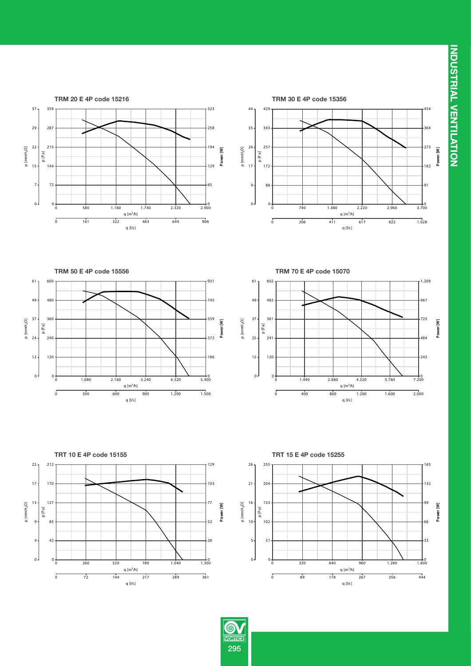**INDUSTRIAL VENTILATION INDUSTRIAL VENTILATION**















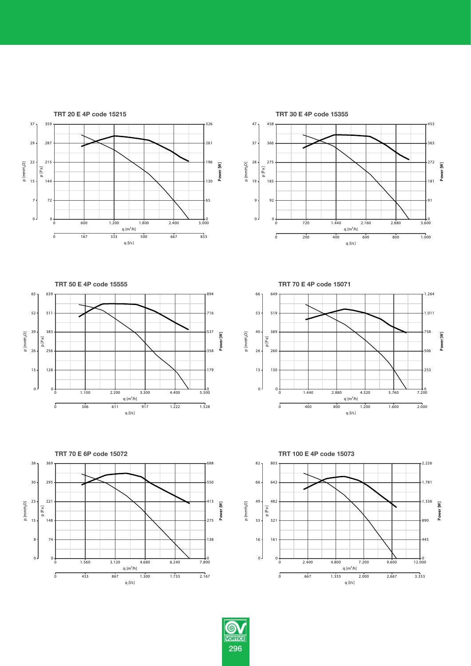